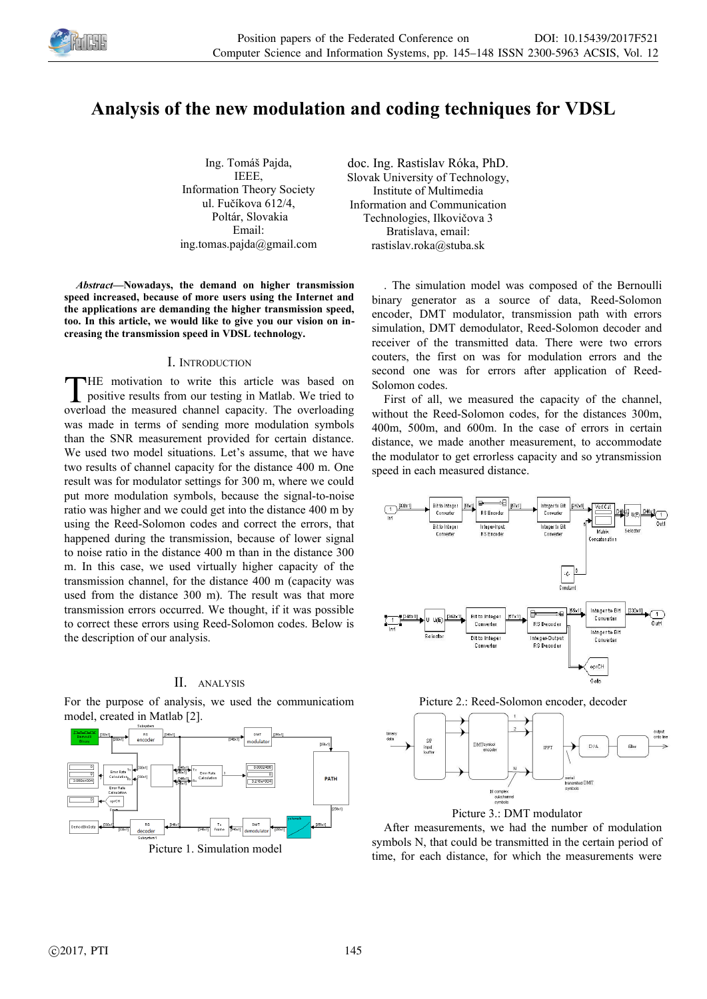

# **Analysis of the new modulation and coding techniques for VDSL**

Ing. Tomáš Pajda, IEEE, Information Theory Society ul. Fučíkova 612/4, Poltár, Slovakia Email: ing.tomas.pajda@gmail.com

*Abstract—***Nowadays, the demand on higher transmission speed increased, because of more users using the Internet and the applications are demanding the higher transmission speed, too. In this article, we would like to give you our vision on increasing the transmission speed in VDSL technology.**

## I. INTRODUCTION

HE motivation to write this article was based on positive results from our testing in Matlab. We tried to THE motivation to write this article was based on positive results from our testing in Matlab. We tried to overload the measured channel capacity. The overloading was made in terms of sending more modulation symbols than the SNR measurement provided for certain distance. We used two model situations. Let's assume, that we have two results of channel capacity for the distance 400 m. One result was for modulator settings for 300 m, where we could put more modulation symbols, because the signal-to-noise ratio was higher and we could get into the distance 400 m by using the Reed-Solomon codes and correct the errors, that happened during the transmission, because of lower signal to noise ratio in the distance 400 m than in the distance 300 m. In this case, we used virtually higher capacity of the transmission channel, for the distance 400 m (capacity was used from the distance 300 m). The result was that more transmission errors occurred. We thought, if it was possible to correct these errors using Reed-Solomon codes. Below is the description of our analysis.

## II. ANALYSIS

For the purpose of analysis, we used the communicatiom model, created in Matlab [2].



doc. Ing. Rastislav Róka, PhD. Slovak University of Technology, Institute of Multimedia Information and Communication Technologies, Ilkovičova 3 Bratislava, email: rastislav.roka@stuba.sk

> . The simulation model was composed of the Bernoulli binary generator as a source of data, Reed-Solomon encoder, DMT modulator, transmission path with errors simulation, DMT demodulator, Reed-Solomon decoder and receiver of the transmitted data. There were two errors couters, the first on was for modulation errors and the second one was for errors after application of Reed-Solomon codes.

> First of all, we measured the capacity of the channel, without the Reed-Solomon codes, for the distances 300m, 400m, 500m, and 600m. In the case of errors in certain distance, we made another measurement, to accommodate the modulator to get errorless capacity and so ytransmission speed in each measured distance.



Picture 2.: Reed-Solomon encoder, decoder



Picture 3.: DMT modulator

After measurements, we had the number of modulation symbols N, that could be transmitted in the certain period of time, for each distance, for which the measurements were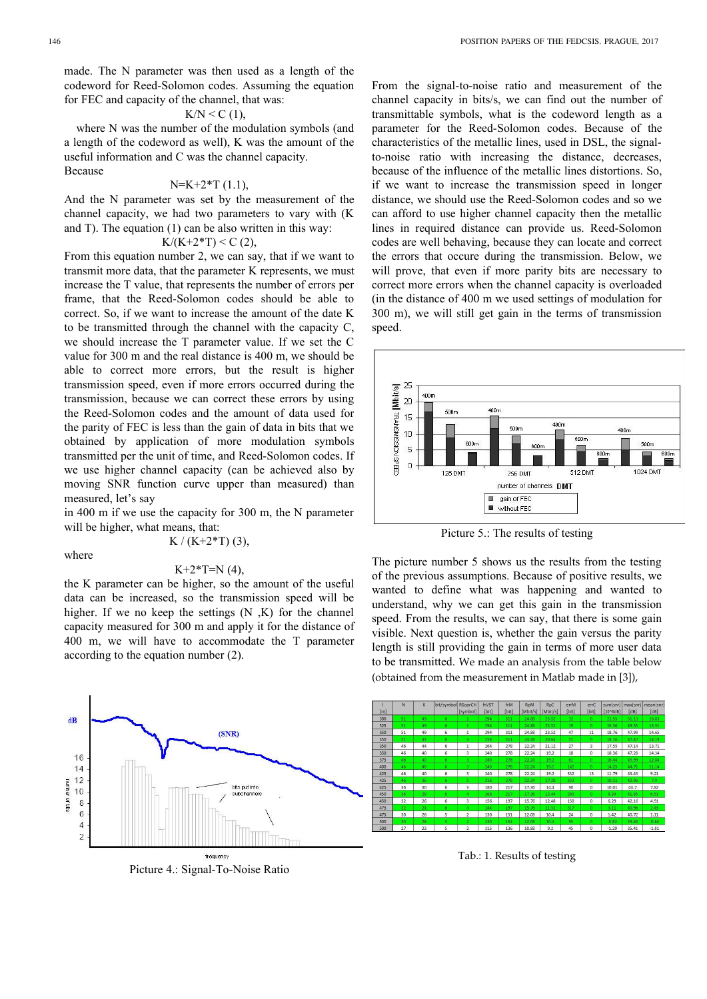made. The N parameter was then used as a length of the codeword for Reed-Solomon codes. Assuming the equation for FEC and capacity of the channel, that was:

# $K/N \le C(1)$ ,

where N was the number of the modulation symbols (and a length of the codeword as well), K was the amount of the useful information and C was the channel capacity. Because

#### $N=K+2*T(1.1),$

And the N parameter was set by the measurement of the channel capacity, we had two parameters to vary with (K and T). The equation (1) can be also written in this way:

# $K/(K+2*T) < C$  (2),

From this equation number 2, we can say, that if we want to transmit more data, that the parameter K represents, we must increase the T value, that represents the number of errors per frame, that the Reed-Solomon codes should be able to correct. So, if we want to increase the amount of the date K to be transmitted through the channel with the capacity C, we should increase the T parameter value. If we set the C value for 300 m and the real distance is 400 m, we should be able to correct more errors, but the result is higher transmission speed, even if more errors occurred during the transmission, because we can correct these errors by using the Reed-Solomon codes and the amount of data used for the parity of FEC is less than the gain of data in bits that we obtained by application of more modulation symbols transmitted per the unit of time, and Reed-Solomon codes. If we use higher channel capacity (can be achieved also by moving SNR function curve upper than measured) than measured, let's say

in 400 m if we use the capacity for 300 m, the N parameter will be higher, what means, that:

where

$$
K / (K + 2*T) (3),
$$
  

$$
K + 2*T = N (4),
$$

the K parameter can be higher, so the amount of the useful data can be increased, so the transmission speed will be higher. If we no keep the settings  $(N,K)$  for the channel capacity measured for 300 m and apply it for the distance of 400 m, we will have to accommodate the T parameter according to the equation number (2).



Picture 4.: Signal-To-Noise Ratio

From the signal-to-noise ratio and measurement of the channel capacity in bits/s, we can find out the number of transmittable symbols, what is the codeword length as a parameter for the Reed-Solomon codes. Because of the characteristics of the metallic lines, used in DSL, the signalto-noise ratio with increasing the distance, decreases, because of the influence of the metallic lines distortions. So, if we want to increase the transmission speed in longer distance, we should use the Reed-Solomon codes and so we can afford to use higher channel capacity then the metallic lines in required distance can provide us. Reed-Solomon codes are well behaving, because they can locate and correct the errors that occure during the transmission. Below, we will prove, that even if more parity bits are necessary to correct more errors when the channel capacity is overloaded (in the distance of 400 m we used settings of modulation for 300 m), we will still get gain in the terms of transmission speed.



Picture 5.: The results of testing

The picture number 5 shows us the results from the testing of the previous assumptions. Because of positive results, we wanted to define what was happening and wanted to understand, why we can get this gain in the transmission speed. From the results, we can say, that there is some gain visible. Next question is, whether the gain versus the parity length is still providing the gain in terms of more user data to be transmitted. We made an analysis from the table below (obtained from the measurement in Matlab made in [3]),



Tab.: 1. Results of testing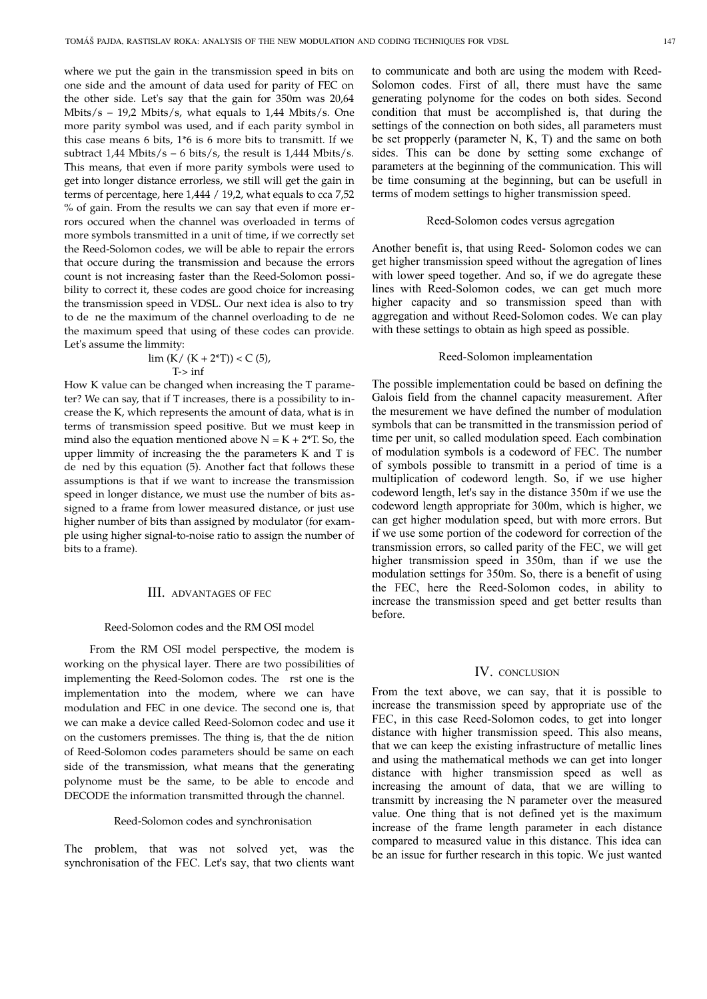where we put the gain in the transmission speed in bits on one side and the amount of data used for parity of FEC on the other side. Let's say that the gain for 350m was 20,64 Mbits/s – 19,2 Mbits/s, what equals to 1,44 Mbits/s. One more parity symbol was used, and if each parity symbol in this case means 6 bits, 1\*6 is 6 more bits to transmitt. If we subtract  $1.44$  Mbits/s – 6 bits/s, the result is  $1.444$  Mbits/s. This means, that even if more parity symbols were used to get into longer distance errorless, we still will get the gain in terms of percentage, here 1,444 / 19,2, what equals to cca 7,52 % of gain. From the results we can say that even if more errors occured when the channel was overloaded in terms of more symbols transmitted in a unit of time, if we correctly set the Reed-Solomon codes, we will be able to repair the errors that occure during the transmission and because the errors count is not increasing faster than the Reed-Solomon possibility to correct it, these codes are good choice for increasing the transmission speed in VDSL. Our next idea is also to try to de ne the maximum of the channel overloading to de ne the maximum speed that using of these codes can provide. Let's assume the limmity:

$$
\lim (K / (K + 2^*T)) < C (5),
$$
\n
$$
T > \inf
$$

How K value can be changed when increasing the T parameter? We can say, that if T increases, there is a possibility to increase the K, which represents the amount of data, what is in terms of transmission speed positive. But we must keep in mind also the equation mentioned above  $N = K + 2*T$ . So, the upper limmity of increasing the the parameters K and T is de ned by this equation (5). Another fact that follows these assumptions is that if we want to increase the transmission speed in longer distance, we must use the number of bits assigned to a frame from lower measured distance, or just use higher number of bits than assigned by modulator (for example using higher signal-to-noise ratio to assign the number of bits to a frame).

# **III.** ADVANTAGES OF FEC

#### Reed-Solomon codes and the RM OSI model

From the RM OSI model perspective, the modem is working on the physical layer. There are two possibilities of implementing the Reed-Solomon codes. The rst one is the implementation into the modem, where we can have modulation and FEC in one device. The second one is, that we can make a device called Reed-Solomon codec and use it on the customers premisses. The thing is, that the de nition of Reed-Solomon codes parameters should be same on each side of the transmission, what means that the generating polynome must be the same, to be able to encode and DECODE the information transmitted through the channel.

#### Reed-Solomon codes and synchronisation

The problem, that was not solved yet, was the synchronisation of the FEC. Let's say, that two clients want

to communicate and both are using the modem with Reed-Solomon codes. First of all, there must have the same generating polynome for the codes on both sides. Second condition that must be accomplished is, that during the settings of the connection on both sides, all parameters must be set propperly (parameter N, K, T) and the same on both sides. This can be done by setting some exchange of parameters at the beginning of the communication. This will be time consuming at the beginning, but can be usefull in terms of modem settings to higher transmission speed.

#### Reed-Solomon codes versus agregation

Another benefit is, that using Reed- Solomon codes we can get higher transmission speed without the agregation of lines with lower speed together. And so, if we do agregate these lines with Reed-Solomon codes, we can get much more higher capacity and so transmission speed than with aggregation and without Reed-Solomon codes. We can play with these settings to obtain as high speed as possible.

## Reed-Solomon impleamentation

The possible implementation could be based on defining the Galois field from the channel capacity measurement. After the mesurement we have defined the number of modulation symbols that can be transmitted in the transmission period of time per unit, so called modulation speed. Each combination of modulation symbols is a codeword of FEC. The number of symbols possible to transmitt in a period of time is a multiplication of codeword length. So, if we use higher codeword length, let's say in the distance 350m if we use the codeword length appropriate for 300m, which is higher, we can get higher modulation speed, but with more errors. But if we use some portion of the codeword for correction of the transmission errors, so called parity of the FEC, we will get higher transmission speed in 350m, than if we use the modulation settings for 350m. So, there is a benefit of using the FEC, here the Reed-Solomon codes, in ability to increase the transmission speed and get better results than before.

## IV. CONCLUSION

From the text above, we can say, that it is possible to increase the transmission speed by appropriate use of the FEC, in this case Reed-Solomon codes, to get into longer distance with higher transmission speed. This also means, that we can keep the existing infrastructure of metallic lines and using the mathematical methods we can get into longer distance with higher transmission speed as well as increasing the amount of data, that we are willing to transmitt by increasing the N parameter over the measured value. One thing that is not defined yet is the maximum increase of the frame length parameter in each distance compared to measured value in this distance. This idea can be an issue for further research in this topic. We just wanted